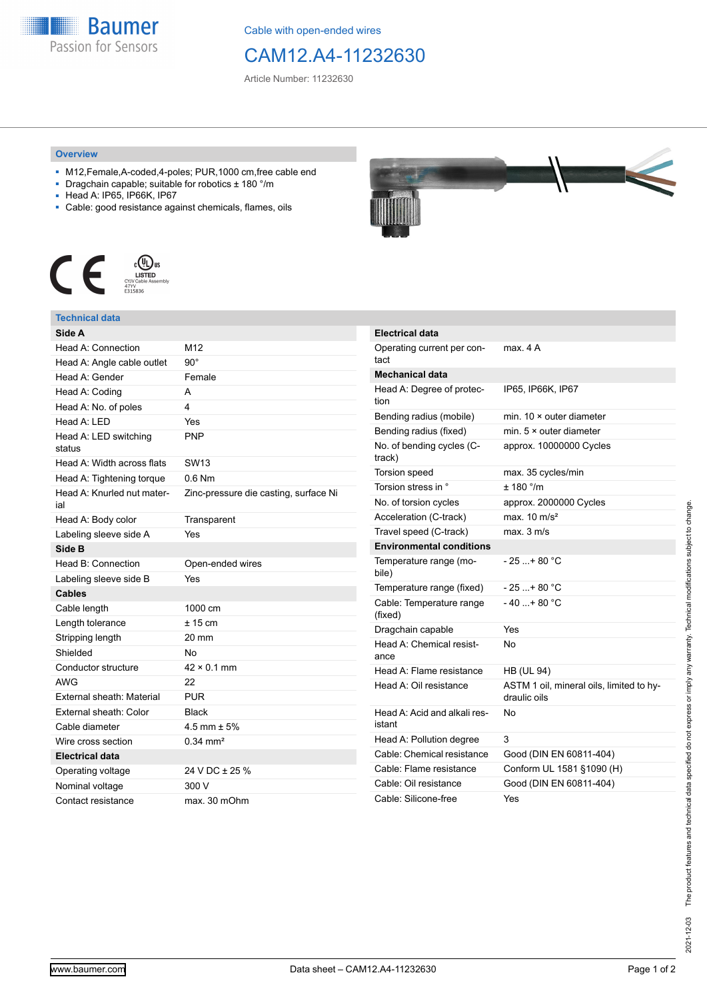

Cable with open-ended wires

## CAM12.A4-11232630

Article Number: 11232630

## **Overview**

- M12,Female,A-coded,4-poles; PUR,1000 cm,free cable end
- Dragchain capable; suitable for robotics ± 180 °/m
- Head A: IP65, IP66K, IP67
- Cable: good resistance against chemicals, flames, oils



## **Technical data**

| Side A                            |                                       |
|-----------------------------------|---------------------------------------|
| Head A: Connection                | M12                                   |
| Head A: Angle cable outlet        | 90°                                   |
| Head A: Gender                    | Female                                |
| Head A: Coding                    | А                                     |
| Head A: No. of poles              | 4                                     |
| Head A: LED                       | Yes                                   |
| Head A: LED switching<br>status   | PNP                                   |
| Head A: Width across flats        | SW <sub>13</sub>                      |
| Head A: Tightening torque         | $0.6$ Nm                              |
| Head A: Knurled nut mater-<br>ial | Zinc-pressure die casting, surface Ni |
| Head A: Body color                | Transparent                           |
| Labeling sleeve side A            | Yes                                   |
| Side B                            |                                       |
| Head B: Connection                | Open-ended wires                      |
| Labeling sleeve side B            | Yes                                   |
| <b>Cables</b>                     |                                       |
| Cable length                      | 1000 cm                               |
| Length tolerance                  | $± 15$ cm                             |
| Stripping length                  | 20 mm                                 |
| Shielded                          | N٥                                    |
| Conductor structure               | $42 \times 0.1$ mm                    |
| AWG                               | 22                                    |
| External sheath: Material         | <b>PUR</b>                            |
| External sheath: Color            | Black                                 |
| Cable diameter                    | $4.5$ mm $\pm$ 5%                     |
| Wire cross section                | $0.34$ mm <sup>2</sup>                |
| <b>Electrical data</b>            |                                       |
| Operating voltage                 | 24 V DC ± 25 %                        |
| Nominal voltage                   | 300 V                                 |
| Contact resistance                | max. 30 mOhm                          |



| <b>Electrical data</b>                 |                                                          |
|----------------------------------------|----------------------------------------------------------|
| Operating current per con-<br>tact     | max. 4 A                                                 |
| <b>Mechanical data</b>                 |                                                          |
| Head A: Degree of protec-<br>tion      | IP65, IP66K, IP67                                        |
| Bending radius (mobile)                | min. 10 × outer diameter                                 |
| Bending radius (fixed)                 | min. $5 \times$ outer diameter                           |
| No. of bending cycles (C-<br>track)    | approx. 10000000 Cycles                                  |
| <b>Torsion speed</b>                   | max. 35 cycles/min                                       |
| Torsion stress in °                    | $+ 180$ $^{\circ}$ /m                                    |
| No. of torsion cycles                  | approx. 2000000 Cycles                                   |
| Acceleration (C-track)                 | max $10 \text{ m/s}^2$                                   |
| Travel speed (C-track)                 | max. 3 m/s                                               |
| <b>Environmental conditions</b>        |                                                          |
| Temperature range (mo-<br>bile)        | - 25 + 80 °C                                             |
| Temperature range (fixed)              | - 25 + 80 °C                                             |
| Cable: Temperature range<br>(fixed)    | - 40 + 80 °C                                             |
| Dragchain capable                      | Yes                                                      |
| Head A: Chemical resist-<br>ance       | No                                                       |
| Head A: Flame resistance               | <b>HB (UL 94)</b>                                        |
| Head A: Oil resistance                 | ASTM 1 oil, mineral oils, limited to hy-<br>draulic oils |
| Head A: Acid and alkali res-<br>istant | No                                                       |
| Head A: Pollution degree               | 3                                                        |
| Cable: Chemical resistance             | Good (DIN EN 60811-404)                                  |
| Cable: Flame resistance                | Conform UL 1581 §1090 (H)                                |
| Cable: Oil resistance                  | Good (DIN EN 60811-404)                                  |
| Cable: Silicone-free                   | Yes                                                      |